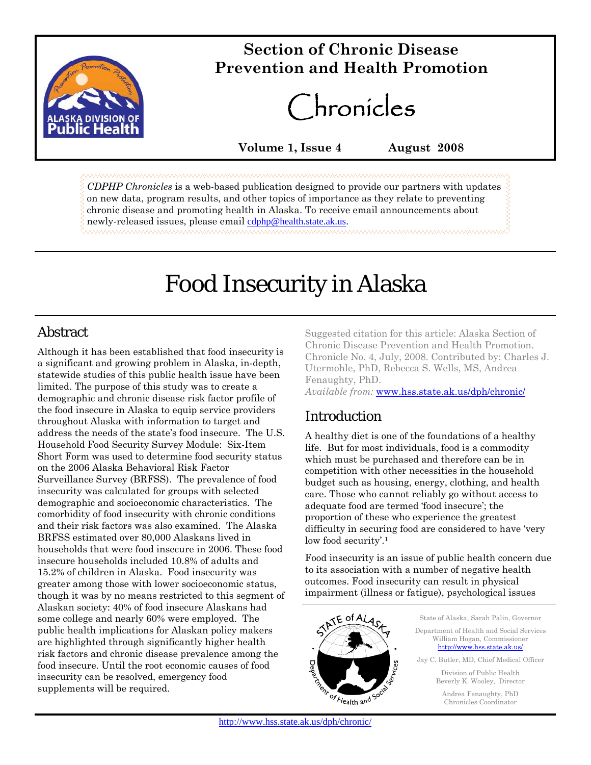

# **Section of Chronic Disease Prevention and Health Promotion**

# Chronicles

**Volume 1, Issue 4 August 2008** 

*CDPHP Chronicles* is a web-based publication designed to provide our partners with updates on new data, program results, and other topics of importance as they relate to preventing chronic disease and promoting health in Alaska. To receive email announcements about newly-released issues, please email cdphp@health.state.ak.us.

# Food Insecurity in Alaska

# **Abstract**

Although it has been established that food insecurity is a significant and growing problem in Alaska, in-depth, statewide studies of this public health issue have been limited. The purpose of this study was to create a demographic and chronic disease risk factor profile of the food insecure in Alaska to equip service providers throughout Alaska with information to target and address the needs of the state's food insecure. The U.S. Household Food Security Survey Module: Six-Item Short Form was used to determine food security status on the 2006 Alaska Behavioral Risk Factor Surveillance Survey (BRFSS). The prevalence of food insecurity was calculated for groups with selected demographic and socioeconomic characteristics. The comorbidity of food insecurity with chronic conditions and their risk factors was also examined. The Alaska BRFSS estimated over 80,000 Alaskans lived in households that were food insecure in 2006. These food insecure households included 10.8% of adults and 15.2% of children in Alaska. Food insecurity was greater among those with lower socioeconomic status, though it was by no means restricted to this segment of Alaskan society: 40% of food insecure Alaskans had some college and nearly 60% were employed. The public health implications for Alaskan policy makers are highlighted through significantly higher health risk factors and chronic disease prevalence among the food insecure. Until the root economic causes of food insecurity can be resolved, emergency food supplements will be required.

Suggested citation for this article: Alaska Section of Chronic Disease Prevention and Health Promotion. Chronicle No. 4, July, 2008. Contributed by: Charles J. Utermohle, PhD, Rebecca S. Wells, MS, Andrea Fenaughty, PhD. *Available from:* www.hss.state.ak.us/dph/chronic/

# Introduction

A healthy diet is one of the foundations of a healthy life. But for most individuals, food is a commodity which must be purchased and therefore can be in competition with other necessities in the household budget such as housing, energy, clothing, and health care. Those who cannot reliably go without access to adequate food are termed 'food insecure'; the proportion of these who experience the greatest difficulty in securing food are considered to have 'very low food security'.1

Food insecurity is an issue of public health concern due to its association with a number of negative health outcomes. Food insecurity can result in physical impairment (illness or fatigue), psychological issues



State of Alaska, Sarah Palin, Governor Department of Health and Social Services William Hogan, Commissioner http://www.hss.state.ak.us/ Jay C. Butler, MD, Chief Medical Officer Division of Public Health Beverly K. Wooley, Director

> Andrea Fenaughty, PhD Chronicles Coordinator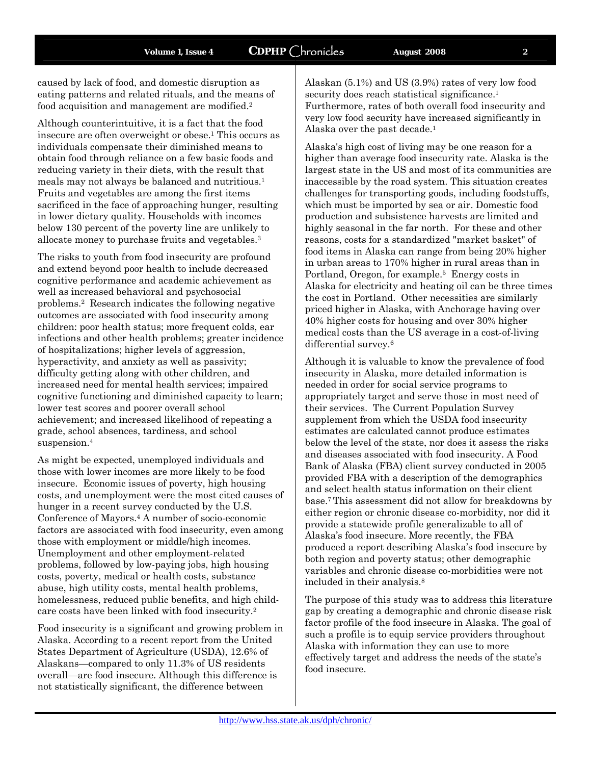caused by lack of food, and domestic disruption as eating patterns and related rituals, and the means of food acquisition and management are modified.2

Although counterintuitive, it is a fact that the food insecure are often overweight or obese.1 This occurs as individuals compensate their diminished means to obtain food through reliance on a few basic foods and reducing variety in their diets, with the result that meals may not always be balanced and nutritious.1 Fruits and vegetables are among the first items sacrificed in the face of approaching hunger, resulting in lower dietary quality. Households with incomes below 130 percent of the poverty line are unlikely to allocate money to purchase fruits and vegetables.3

The risks to youth from food insecurity are profound and extend beyond poor health to include decreased cognitive performance and academic achievement as well as increased behavioral and psychosocial problems.2 Research indicates the following negative outcomes are associated with food insecurity among children: poor health status; more frequent colds, ear infections and other health problems; greater incidence of hospitalizations; higher levels of aggression, hyperactivity, and anxiety as well as passivity; difficulty getting along with other children, and increased need for mental health services; impaired cognitive functioning and diminished capacity to learn; lower test scores and poorer overall school achievement; and increased likelihood of repeating a grade, school absences, tardiness, and school suspension.<sup>4</sup>

As might be expected, unemployed individuals and those with lower incomes are more likely to be food insecure. Economic issues of poverty, high housing costs, and unemployment were the most cited causes of hunger in a recent survey conducted by the U.S. Conference of Mayors.4 A number of socio-economic factors are associated with food insecurity, even among those with employment or middle/high incomes. Unemployment and other employment-related problems, followed by low-paying jobs, high housing costs, poverty, medical or health costs, substance abuse, high utility costs, mental health problems, homelessness, reduced public benefits, and high childcare costs have been linked with food insecurity.2

Food insecurity is a significant and growing problem in Alaska. According to a recent report from the United States Department of Agriculture (USDA), 12.6% of Alaskans—compared to only 11.3% of US residents overall—are food insecure. Although this difference is not statistically significant, the difference between

Alaskan (5.1%) and US (3.9%) rates of very low food security does reach statistical significance.<sup>1</sup> Furthermore, rates of both overall food insecurity and very low food security have increased significantly in Alaska over the past decade.1

Alaska's high cost of living may be one reason for a higher than average food insecurity rate. Alaska is the largest state in the US and most of its communities are inaccessible by the road system. This situation creates challenges for transporting goods, including foodstuffs, which must be imported by sea or air. Domestic food production and subsistence harvests are limited and highly seasonal in the far north.For these and other reasons, costs for a standardized "market basket" of food items in Alaska can range from being 20% higher in urban areas to 170% higher in rural areas than in Portland, Oregon, for example.<sup>5</sup> Energy costs in Alaska for electricity and heating oil can be three times the cost in Portland. Other necessities are similarly priced higher in Alaska, with Anchorage having over 40% higher costs for housing and over 30% higher medical costs than the US average in a cost-of-living differential survey.<sup>6</sup>

Although it is valuable to know the prevalence of food insecurity in Alaska, more detailed information is needed in order for social service programs to appropriately target and serve those in most need of their services. The Current Population Survey supplement from which the USDA food insecurity estimates are calculated cannot produce estimates below the level of the state, nor does it assess the risks and diseases associated with food insecurity. A Food Bank of Alaska (FBA) client survey conducted in 2005 provided FBA with a description of the demographics and select health status information on their client base.7 This assessment did not allow for breakdowns by either region or chronic disease co-morbidity, nor did it provide a statewide profile generalizable to all of Alaska's food insecure. More recently, the FBA produced a report describing Alaska's food insecure by both region and poverty status; other demographic variables and chronic disease co-morbidities were not included in their analysis.8

The purpose of this study was to address this literature gap by creating a demographic and chronic disease risk factor profile of the food insecure in Alaska. The goal of such a profile is to equip service providers throughout Alaska with information they can use to more effectively target and address the needs of the state's food insecure.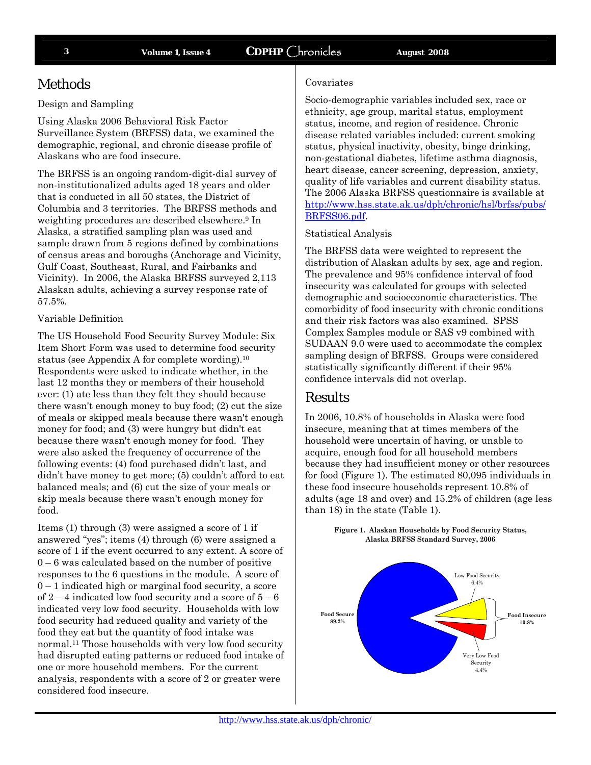## Methods

### Design and Sampling

Using Alaska 2006 Behavioral Risk Factor Surveillance System (BRFSS) data, we examined the demographic, regional, and chronic disease profile of Alaskans who are food insecure.

The BRFSS is an ongoing random-digit-dial survey of non-institutionalized adults aged 18 years and older that is conducted in all 50 states, the District of Columbia and 3 territories. The BRFSS methods and weighting procedures are described elsewhere.9 In Alaska, a stratified sampling plan was used and sample drawn from 5 regions defined by combinations of census areas and boroughs (Anchorage and Vicinity, Gulf Coast, Southeast, Rural, and Fairbanks and Vicinity). In 2006, the Alaska BRFSS surveyed 2,113 Alaskan adults, achieving a survey response rate of 57.5%.

### Variable Definition

The US Household Food Security Survey Module: Six Item Short Form was used to determine food security status (see Appendix A for complete wording).10 Respondents were asked to indicate whether, in the last 12 months they or members of their household ever: (1) ate less than they felt they should because there wasn't enough money to buy food; (2) cut the size of meals or skipped meals because there wasn't enough money for food; and (3) were hungry but didn't eat because there wasn't enough money for food. They were also asked the frequency of occurrence of the following events: (4) food purchased didn't last, and didn't have money to get more; (5) couldn't afford to eat balanced meals; and (6) cut the size of your meals or skip meals because there wasn't enough money for food.

Items (1) through (3) were assigned a score of 1 if answered "yes"; items (4) through (6) were assigned a score of 1 if the event occurred to any extent. A score of  $0 - 6$  was calculated based on the number of positive responses to the 6 questions in the module. A score of 0 – 1 indicated high or marginal food security, a score of  $2 - 4$  indicated low food security and a score of  $5 - 6$ indicated very low food security. Households with low food security had reduced quality and variety of the food they eat but the quantity of food intake was normal.11 Those households with very low food security had disrupted eating patterns or reduced food intake of one or more household members. For the current analysis, respondents with a score of 2 or greater were considered food insecure.

### Covariates

Socio-demographic variables included sex, race or ethnicity, age group, marital status, employment status, income, and region of residence. Chronic disease related variables included: current smoking status, physical inactivity, obesity, binge drinking, non-gestational diabetes, lifetime asthma diagnosis, heart disease, cancer screening, depression, anxiety, quality of life variables and current disability status. The 2006 Alaska BRFSS questionnaire is available at http://www.hss.state.ak.us/dph/chronic/hsl/brfss/pubs/ BRFSS06.pdf.

### Statistical Analysis

The BRFSS data were weighted to represent the distribution of Alaskan adults by sex, age and region. The prevalence and 95% confidence interval of food insecurity was calculated for groups with selected demographic and socioeconomic characteristics. The comorbidity of food insecurity with chronic conditions and their risk factors was also examined. SPSS Complex Samples module or SAS v9 combined with SUDAAN 9.0 were used to accommodate the complex sampling design of BRFSS. Groups were considered statistically significantly different if their 95% confidence intervals did not overlap.

### Results

In 2006, 10.8% of households in Alaska were food insecure, meaning that at times members of the household were uncertain of having, or unable to acquire, enough food for all household members because they had insufficient money or other resources for food (Figure 1). The estimated 80,095 individuals in these food insecure households represent 10.8% of adults (age 18 and over) and 15.2% of children (age less than 18) in the state (Table 1).

> **Figure 1. Alaskan Households by Food Security Status, Alaska BRFSS Standard Survey, 2006**

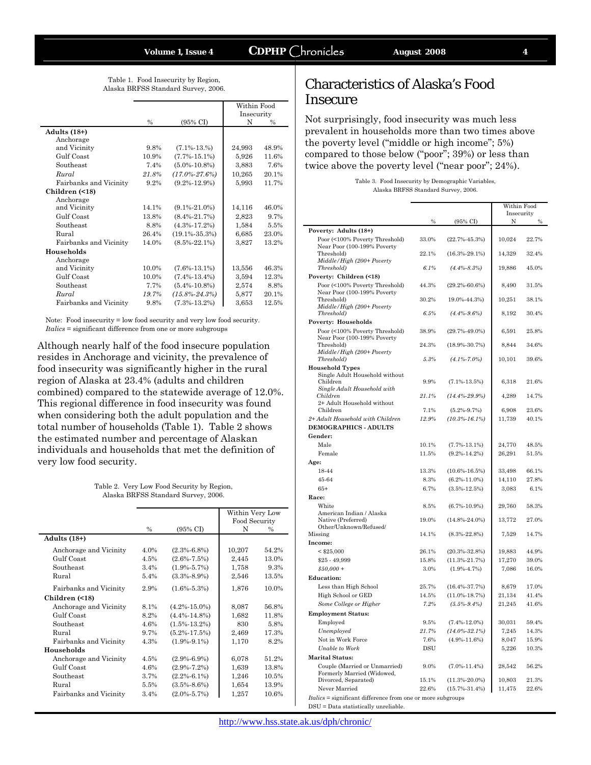Table 1. Food Insecurity by Region, Alaska BRFSS Standard Survey, 2006.

|                        |               |                     | Within Food |               |
|------------------------|---------------|---------------------|-------------|---------------|
|                        |               |                     | Insecurity  |               |
|                        | $\frac{0}{0}$ | $(95\% \text{ CI})$ | N           | $\frac{0}{0}$ |
| Adults $(18+)$         |               |                     |             |               |
| Anchorage              |               |                     |             |               |
| and Vicinity           | 9.8%          | $(7.1\% - 13.%)$    | 24,993      | 48.9%         |
| Gulf Coast             | 10.9%         | $(7.7\% - 15.1\%)$  | 5,926       | 11.6%         |
| Southeast              | 7.4%          | $(5.0\% - 10.8\%)$  | 3,883       | 7.6%          |
| Rural                  | 21.8%         | $(17.0\% - 27.6\%)$ | 10,265      | 20.1%         |
| Fairbanks and Vicinity | 9.2%          | $(9.2\% - 12.9\%)$  | 5,993       | 11.7%         |
| Children (<18)         |               |                     |             |               |
| Anchorage              |               |                     |             |               |
| and Vicinity           | 14.1%         | $(9.1\% - 21.0\%)$  | 14,116      | 46.0%         |
| Gulf Coast             | 13.8%         | $(8.4\% - 21.7\%)$  | 2,823       | 9.7%          |
| Southeast              | 8.8%          | $(4.3\% - 17.2\%)$  | 1,584       | 5.5%          |
| Rural                  | 26.4%         | $(19.1\% - 35.3\%)$ | 6,685       | 23.0%         |
| Fairbanks and Vicinity | 14.0%         | $(8.5\% - 22.1\%)$  | 3,827       | 13.2%         |
| Households             |               |                     |             |               |
| Anchorage              |               |                     |             |               |
| and Vicinity           | 10.0%         | $(7.6\% - 13.1\%)$  | 13,556      | 46.3%         |
| Gulf Coast             | 10.0%         | $(7.4\% - 13.4\%)$  | 3,594       | 12.3%         |
| Southeast              | 7.7%          | $(5.4\% - 10.8\%)$  | 2,574       | 8.8%          |
| Rural                  | 19.7%         | $(15.8\% - 24.3\%)$ | 5,877       | 20.1%         |
| Fairbanks and Vicinity | 9.8%          | $(7.3\% - 13.2\%)$  | 3,653       | 12.5%         |

Note: Food insecurity = low food security and very low food security. *Italics* = significant difference from one or more subgroups

Although nearly half of the food insecure population resides in Anchorage and vicinity, the prevalence of food insecurity was significantly higher in the rural region of Alaska at 23.4% (adults and children combined) compared to the statewide average of 12.0%. This regional difference in food insecurity was found when considering both the adult population and the total number of households (Table 1). Table 2 shows the estimated number and percentage of Alaskan individuals and households that met the definition of very low food security.

> Table 2. Very Low Food Security by Region, Alaska BRFSS Standard Survey, 2006.

|                        |      |                     | Within Very Low<br>Food Security |               |
|------------------------|------|---------------------|----------------------------------|---------------|
|                        | $\%$ | $(95\% \text{ CI})$ | N                                | $\frac{0}{0}$ |
| Adults $(18+)$         |      |                     |                                  |               |
| Anchorage and Vicinity | 4.0% | $(2.3\% - 6.8\%)$   | 10,207                           | 54.2%         |
| Gulf Coast             | 4.5% | $(2.6\% - 7.5\%)$   | 2,445                            | 13.0%         |
| Southeast              | 3.4% | $(1.9\% - 5.7\%)$   | 1,758                            | 9.3%          |
| Rural                  | 5.4% | $(3.3\% - 8.9\%)$   | 2,546                            | 13.5%         |
| Fairbanks and Vicinity | 2.9% | $(1.6\% - 5.3\%)$   | 1,876                            | 10.0%         |
| Children (<18)         |      |                     |                                  |               |
| Anchorage and Vicinity | 8.1% | $(4.2\% - 15.0\%)$  | 8,087                            | 56.8%         |
| Gulf Coast             | 8.2% | $(4.4\% - 14.8\%)$  | 1,682                            | 11.8%         |
| Southeast              | 4.6% | $(1.5\% - 13.2\%)$  | 830                              | 5.8%          |
| Rural                  | 9.7% | $(5.2\% - 17.5\%)$  | 2,469                            | 17.3%         |
| Fairbanks and Vicinity | 4.3% | $(1.9\% - 9.1\%)$   | 1,170                            | 8.2%          |
| Households             |      |                     |                                  |               |
| Anchorage and Vicinity | 4.5% | $(2.9\% - 6.9\%)$   | 6,078                            | 51.2%         |
| Gulf Coast             | 4.6% | $(2.9\% - 7.2\%)$   | 1,639                            | 13.8%         |
| Southeast              | 3.7% | $(2.2\% - 6.1\%)$   | 1,246                            | 10.5%         |
| Rural                  | 5.5% | $(3.5\% - 8.6\%)$   | 1,654                            | 13.9%         |
| Fairbanks and Vicinity | 3.4% | $(2.0\% - 5.7\%)$   | 1,257                            | 10.6%         |

## Characteristics of Alaska's Food Insecure

Not surprisingly, food insecurity was much less prevalent in households more than two times above the poverty level ("middle or high income"; 5%) compared to those below ("poor"; 39%) or less than twice above the poverty level ("near poor"; 24%).

> Table 3. Food Insecurity by Demographic Variables, Alaska BRFSS Standard Survey, 2006.

|                                                                    |       |                     | Within Food     |       |
|--------------------------------------------------------------------|-------|---------------------|-----------------|-------|
|                                                                    | %     | (95% CI)            | Insecurity<br>Ν | $\%$  |
| Poverty: Adults (18+)                                              |       |                     |                 |       |
| Poor (<100% Poverty Threshold)<br>Near Poor (100-199% Poverty      | 33.0% | $(22.7\% - 45.3\%)$ | 10,024          | 22.7% |
| Threshold)                                                         | 22.1% | $(16.3\% - 29.1\%)$ | 14,329          | 32.4% |
| Middle/High (200+ Poverty<br>Threshold)                            | 6.1%  | $(4.4\% - 8.3\%)$   | 19,886          | 45.0% |
| Poverty: Children (<18)                                            |       |                     |                 |       |
| Poor (<100% Poverty Threshold)<br>Near Poor (100-199% Poverty      | 44.3% | $(29.2\% - 60.6\%)$ | 8,490           | 31.5% |
| Threshold)<br>Middle/High (200+ Poverty                            | 30.2% | 19.0%-44.3%)        | 10,251          | 38.1% |
| Threshold)                                                         | 6.5%  | $(4.4\% - 9.6\%)$   | 8,192           | 30.4% |
| Poverty: Households                                                |       |                     |                 |       |
| Poor (<100% Poverty Threshold)<br>Near Poor (100-199% Poverty      | 38.9% | $(29.7\% - 49.0\%)$ | 6,591           | 25.8% |
| Threshold)<br>Middle/High (200+ Poverty                            | 24.3% | $(18.9\% - 30.7\%)$ | 8,844           | 34.6% |
| Threshold)                                                         | 5.3%  | $(4.1\% - 7.0\%)$   | 10,101          | 39.6% |
| <b>Household Types</b>                                             |       |                     |                 |       |
| Single Adult Household without<br>Children                         | 9.9%  | $(7.1\% - 13.5\%)$  | 6,318           | 21.6% |
| Single Adult Household with<br>Children                            | 21.1% | $(14.4\% - 29.9\%)$ | 4,289           | 14.7% |
| 2+ Adult Household without<br>Children                             | 7.1%  | $(5.2\% - 9.7\%)$   | 6,908           | 23.6% |
| 2+ Adult Household with Children                                   | 12.9% | $(10.3\% - 16.1\%)$ | 11,739          | 40.1% |
| <b>DEMOGRAPHICS - ADULTS</b>                                       |       |                     |                 |       |
| Gender:                                                            |       |                     |                 |       |
| Male                                                               | 10.1% | $(7.7\% - 13.1\%)$  | 24,770          | 48.5% |
| Female                                                             | 11.5% | $(9.2\% - 14.2\%)$  | 26,291          | 51.5% |
| Age:                                                               |       |                     |                 |       |
| 18-44                                                              | 13.3% | $(10.6\% - 16.5\%)$ | 33,498          | 66.1% |
| 45-64                                                              | 8.3%  | $(6.2\% - 11.0\%)$  | 14,110          | 27.8% |
| $65+$                                                              | 6.7%  | $(3.5\% - 12.5\%)$  | 3,083           | 6.1%  |
| Race:                                                              |       |                     |                 |       |
| White                                                              | 8.5%  | $(6.7\% - 10.9\%)$  | 29,760          | 58.3% |
| American Indian / Alaska<br>Native (Preferred)                     | 19.0% | $(14.8\% - 24.0\%)$ | 13,772          | 27.0% |
| Other/Unknown/Refused/                                             |       |                     |                 |       |
| Missing                                                            | 14.1% | $(8.3\% - 22.8\%)$  | 7,529           | 14.7% |
| Income:                                                            |       |                     |                 |       |
| $<$ \$25,000                                                       | 26.1% | $(20.3\% - 32.8\%)$ | 19,883          | 44.9% |
| \$25 - 49,999                                                      | 15.8% | $(11.3\% - 21.7\%)$ | 17,270          | 39.0% |
| $$50,000 +$                                                        | 3.0%  | $(1.9\% - 4.7\%)$   | 7,086           | 16.0% |
| <b>Education:</b>                                                  |       |                     |                 |       |
| Less than High School                                              | 25.7% | $(16.4\% - 37.7\%)$ | 8,679           | 17.0% |
| High School or GED                                                 | 14.5% | $(11.0\% - 18.7\%)$ | 21,134          | 41.4% |
| Some College or Higher                                             | 7.2%  | $(5.5\% - 9.4\%)$   | 21,245          | 41.6% |
| <b>Employment Status:</b>                                          |       |                     |                 |       |
| Employed                                                           | 9.5%  | $(7.4\% - 12.0\%)$  | 30,031          | 59.4% |
| Unemployed                                                         | 21.7% | $(14.0\% - 32.1\%)$ | 7,245           | 14.3% |
| Not in Work Force                                                  | 7.6%  | $(4.9\% - 11.6\%)$  | 8,047           | 15.9% |
| <b>Unable to Work</b>                                              | DSU   |                     | 5,226           | 10.3% |
| <b>Marital Status:</b>                                             |       |                     |                 |       |
| Couple (Married or Unmarried)<br>Formerly Married (Widowed,        | 9.0%  | $(7.0\% - 11.4\%)$  | 28,542          | 56.2% |
| Divorced, Separated)                                               | 15.1% | $(11.3\% - 20.0\%)$ | 10,803          | 21.3% |
| Never Married                                                      | 22.6% | $(15.7\% - 31.4\%)$ | 11,475          | 22.6% |
| <i>Italics</i> = significant difference from one or more subgroups |       |                     |                 |       |
| DSU = Data statistically unreliable.                               |       |                     |                 |       |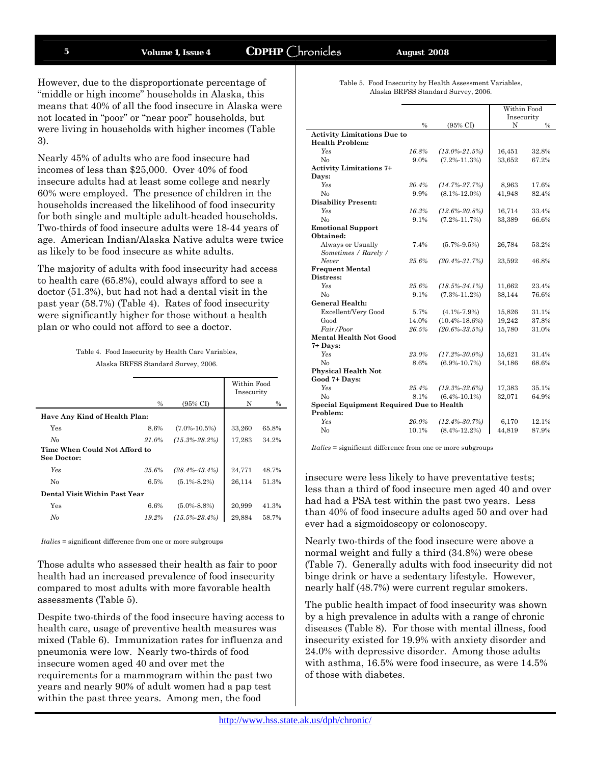### **5 Volume 1, Issue 4 CDPHP** Chronicles **August 2008**

However, due to the disproportionate percentage of "middle or high income" households in Alaska, this means that 40% of all the food insecure in Alaska were not located in "poor" or "near poor" households, but were living in households with higher incomes (Table 3).

Nearly 45% of adults who are food insecure had incomes of less than \$25,000. Over 40% of food insecure adults had at least some college and nearly 60% were employed. The presence of children in the households increased the likelihood of food insecurity for both single and multiple adult-headed households. Two-thirds of food insecure adults were 18-44 years of age. American Indian/Alaska Native adults were twice as likely to be food insecure as white adults.

The majority of adults with food insecurity had access to health care (65.8%), could always afford to see a doctor (51.3%), but had not had a dental visit in the past year (58.7%) (Table 4). Rates of food insecurity were significantly higher for those without a health plan or who could not afford to see a doctor.

| Table 4. Food Insecurity by Health Care Variables, |  |
|----------------------------------------------------|--|
| Alaska BRFSS Standard Survey, 2006.                |  |

|                                              |          |                     | Within Food<br>Insecurity |       |
|----------------------------------------------|----------|---------------------|---------------------------|-------|
|                                              | $\%$     | $(95\% \text{ CI})$ | N                         | $\%$  |
| Have Any Kind of Health Plan:                |          |                     |                           |       |
| Yes                                          | 8.6%     | $(7.0\% - 10.5\%)$  | 33,260                    | 65.8% |
| No                                           | 21.0%    | $(15.3\% - 28.2\%)$ | 17,283                    | 34.2% |
| Time When Could Not Afford to<br>See Doctor: |          |                     |                           |       |
| <b>Yes</b>                                   | $35.6\%$ | $(28.4\% - 43.4\%)$ | 24,771                    | 48.7% |
| No                                           | 6.5%     | $(5.1\% - 8.2\%)$   | 26,114                    | 51.3% |
| Dental Visit Within Past Year                |          |                     |                           |       |
| Yes                                          | 6.6%     | $(5.0\% - 8.8\%)$   | 20,999                    | 41.3% |
| No                                           | 19.2%    | $(15.5\% - 23.4\%)$ | 29,884                    | 58.7% |

*Italics* = significant difference from one or more subgroups

Those adults who assessed their health as fair to poor health had an increased prevalence of food insecurity compared to most adults with more favorable health assessments (Table 5).

Despite two-thirds of the food insecure having access to health care, usage of preventive health measures was mixed (Table 6). Immunization rates for influenza and pneumonia were low. Nearly two-thirds of food insecure women aged 40 and over met the requirements for a mammogram within the past two years and nearly 90% of adult women had a pap test within the past three years. Among men, the food

| Table 5. Food Insecurity by Health Assessment Variables, |
|----------------------------------------------------------|
| Alaska BRFSS Standard Survey, 2006.                      |

|                                                 |         |                     | Within Food |       |
|-------------------------------------------------|---------|---------------------|-------------|-------|
|                                                 |         |                     | Insecurity  |       |
|                                                 | $\%$    | $(95\% \text{ CI})$ | N           | $\%$  |
| <b>Activity Limitations Due to</b>              |         |                     |             |       |
| <b>Health Problem:</b>                          |         |                     |             |       |
| Yes                                             | 16.8%   | $(13.0\% - 21.5\%)$ | 16,451      | 32.8% |
| No                                              | $9.0\%$ | $(7.2\% - 11.3\%)$  | 33,652      | 67.2% |
| <b>Activity Limitations 7+</b>                  |         |                     |             |       |
| Days:                                           |         |                     |             |       |
| <b>Yes</b>                                      | 20.4%   | $(14.7\% - 27.7\%)$ | 8,963       | 17.6% |
| No                                              | 9.9%    | $(8.1\% - 12.0\%)$  | 41,948      | 82.4% |
| <b>Disability Present:</b>                      |         |                     |             |       |
| <b>Yes</b>                                      | 16.3%   | $(12.6\% - 20.8\%)$ | 16,714      | 33.4% |
| No                                              | 9.1%    | $(7.2\% - 11.7\%)$  | 33.389      | 66.6% |
| <b>Emotional Support</b>                        |         |                     |             |       |
| Obtained:                                       |         |                     |             |       |
| Always or Usually                               | 7.4%    | $(5.7\% - 9.5\%)$   | 26,784      | 53.2% |
| Sometimes / Rarely /                            |         |                     |             |       |
| Never                                           | 25.6%   | $(20.4\% - 31.7\%)$ | 23,592      | 46.8% |
| <b>Frequent Mental</b>                          |         |                     |             |       |
| Distress:                                       |         |                     |             |       |
| Yes                                             | 25.6%   | $(18.5\% - 34.1\%)$ | 11,662      | 23.4% |
| No                                              | 9.1%    | $(7.3\% - 11.2\%)$  | 38,144      | 76.6% |
| <b>General Health:</b>                          |         |                     |             |       |
| Excellent/Very Good                             | 5.7%    | $(4.1\% - 7.9\%)$   | 15,826      | 31.1% |
| Good                                            | 14.0%   | $(10.4\% - 18.6\%)$ | 19,242      | 37.8% |
| Fair/Poor                                       | 26.5%   | $(20.6\% - 33.5\%)$ | 15,780      | 31.0% |
| <b>Mental Health Not Good</b>                   |         |                     |             |       |
| $7+$ Days:                                      |         |                     |             |       |
| <b>Yes</b>                                      | 23.0%   | $(17.2\% - 30.0\%)$ | 15,621      | 31.4% |
| No                                              | 8.6%    | $(6.9\% - 10.7\%)$  | 34,186      | 68.6% |
| <b>Physical Health Not</b>                      |         |                     |             |       |
| Good 7+ Days:                                   |         |                     |             |       |
| <b>Yes</b>                                      | 25.4%   | $(19.3\% - 32.6\%)$ | 17,383      | 35.1% |
| N <sub>0</sub>                                  | 8.1%    | $(6.4\% - 10.1\%)$  | 32,071      | 64.9% |
| <b>Special Equipment Required Due to Health</b> |         |                     |             |       |
| Problem:                                        |         |                     |             |       |
| <b>Yes</b>                                      | 20.0%   | $(12.4\% - 30.7\%)$ | 6,170       | 12.1% |
| N <sub>0</sub>                                  | 10.1%   | $(8.4\% - 12.2\%)$  | 44,819      | 87.9% |

*Italics* = significant difference from one or more subgroups

insecure were less likely to have preventative tests; less than a third of food insecure men aged 40 and over had had a PSA test within the past two years. Less than 40% of food insecure adults aged 50 and over had ever had a sigmoidoscopy or colonoscopy.

Nearly two-thirds of the food insecure were above a normal weight and fully a third (34.8%) were obese (Table 7). Generally adults with food insecurity did not binge drink or have a sedentary lifestyle. However, nearly half (48.7%) were current regular smokers.

The public health impact of food insecurity was shown by a high prevalence in adults with a range of chronic diseases (Table 8). For those with mental illness, food insecurity existed for 19.9% with anxiety disorder and 24.0% with depressive disorder. Among those adults with asthma, 16.5% were food insecure, as were 14.5% of those with diabetes.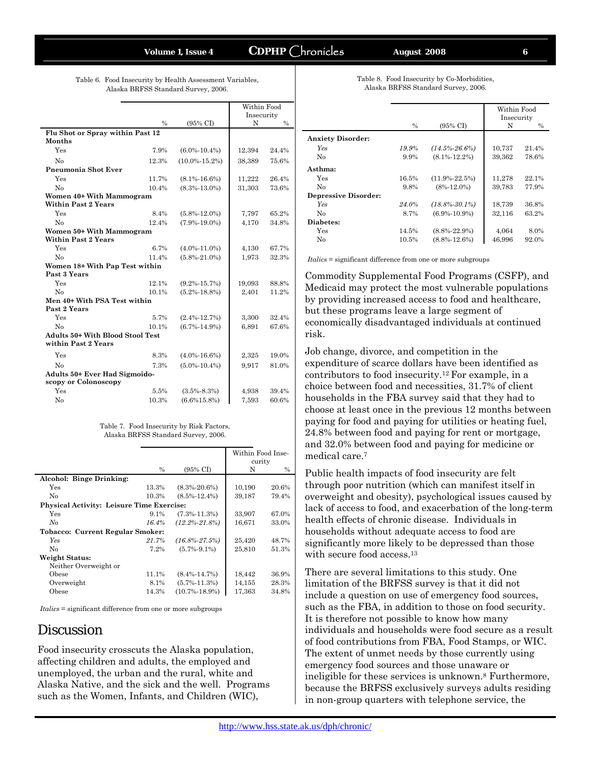### **Volume 1, Issue 4 CDPHP** Chronicles **August 2008**

Table 6. Food Insecurity by Health Assessment Variables, Alaska BRFSS Standard Survey, 2006.

|                                                                |               |                     | Within Food<br>Insecurity |       |
|----------------------------------------------------------------|---------------|---------------------|---------------------------|-------|
|                                                                | $\frac{0}{0}$ | $(95\% \text{ CI})$ | N                         | $\%$  |
| Flu Shot or Spray within Past 12                               |               |                     |                           |       |
| <b>Months</b>                                                  |               |                     |                           |       |
| Yes                                                            | 7.9%          | $(6.0\% - 10.4\%)$  | 12,394                    | 24.4% |
| No                                                             | 12.3%         | $(10.0\% - 15.2\%)$ | 38,389                    | 75.6% |
| <b>Pneumonia Shot Ever</b>                                     |               |                     |                           |       |
| Yes                                                            | 11.7%         | $(8.1\% - 16.6\%)$  | 11,222                    | 26.4% |
| No                                                             | 10.4%         | $(8.3\% - 13.0\%)$  | 31,303                    | 73.6% |
| Women 40+ With Mammogram                                       |               |                     |                           |       |
| <b>Within Past 2 Years</b>                                     |               |                     |                           |       |
| Yes                                                            | 8.4%          | $(5.8\% - 12.0\%)$  | 7,797                     | 65.2% |
| No                                                             | 12.4%         | $(7.9\% - 19.0\%)$  | 4,170                     | 34.8% |
| Women 50+ With Mammogram                                       |               |                     |                           |       |
| <b>Within Past 2 Years</b>                                     |               |                     |                           |       |
| Yes                                                            | 6.7%          | $(4.0\% - 11.0\%)$  | 4,130                     | 67.7% |
| No                                                             | 11.4%         | $(5.8\% - 21.0\%)$  | 1,973                     | 32.3% |
| Women 18+ With Pap Test within                                 |               |                     |                           |       |
| Past 3 Years                                                   |               |                     |                           |       |
| Yes                                                            | 12.1%         | $(9.2\% - 15.7\%)$  | 19,093                    | 88.8% |
| No                                                             | 10.1%         | $(5.2\% - 18.8\%)$  | 2,401                     | 11.2% |
| Men 40+ With PSA Test within<br>Past 2 Years                   |               |                     |                           |       |
| Yes                                                            | 5.7%          | $(2.4\% - 12.7\%)$  | 3,300                     | 32.4% |
| No                                                             | 10.1%         | $(6.7\% - 14.9\%)$  | 6.891                     | 67.6% |
| <b>Adults 50+ With Blood Stool Test</b><br>within Past 2 Years |               |                     |                           |       |
|                                                                |               |                     |                           |       |
| Yes                                                            | 8.3%          | $(4.0\% - 16.6\%)$  | 2,325                     | 19.0% |
| No                                                             | 7.3%          | $(5.0\% - 10.4\%)$  | 9,917                     | 81.0% |
| Adults 50+ Ever Had Sigmoido-                                  |               |                     |                           |       |
| scopy or Colonoscopy                                           |               |                     |                           |       |
| Yes                                                            | 5.5%          | $(3.5\% - 8.3\%)$   | 4,938                     | 39.4% |
| No                                                             | 10.3%         | $(6.6\%15.8\%)$     | 7,593                     | 60.6% |
|                                                                |               |                     |                           |       |

| Table 7. Food Insecurity by Risk Factors, |
|-------------------------------------------|
| Alaska BRFSS Standard Survey, 2006.       |

|                                                  |               |                     | Within Food Inse- |               |
|--------------------------------------------------|---------------|---------------------|-------------------|---------------|
|                                                  |               |                     | curity            |               |
|                                                  | $\frac{0}{0}$ | $(95\% \text{ CI})$ | N                 | $\frac{0}{0}$ |
| Alcohol: Binge Drinking:                         |               |                     |                   |               |
| Yes                                              | 13.3%         | $(8.3\% - 20.6\%)$  | 10,190            | 20.6%         |
| No                                               | 10.3%         | $(8.5\% - 12.4\%)$  | 39,187            | 79.4%         |
| <b>Physical Activity: Leisure Time Exercise:</b> |               |                     |                   |               |
| Yes                                              | $9.1\%$       | $(7.3\% - 11.3\%)$  | 33,907            | 67.0%         |
| No                                               | 16.4%         | $(12.2\% - 21.8\%)$ | 16.671            | 33.0%         |
| <b>Tobacco: Current Regular Smoker:</b>          |               |                     |                   |               |
| Yes                                              | 21.7%         | $(16.8\% - 27.5\%)$ | 25,420            | 48.7%         |
| No                                               | 7.2%          | $(5.7\% - 9.1\%)$   | 25,810            | 51.3%         |
| Weight Status:                                   |               |                     |                   |               |
| Neither Overweight or                            |               |                     |                   |               |
| Obese                                            | 11.1%         | $(8.4\% - 14.7\%)$  | 18,442            | 36.9%         |
| Overweight                                       | 8.1%          | $(5.7\% - 11.3\%)$  | 14,155            | 28.3%         |
| Obese                                            | 14.3%         | $(10.7\% - 18.9\%)$ | 17,363            | 34.8%         |

*Italics* = significant difference from one or more subgroups

### Discussion

Food insecurity crosscuts the Alaska population, affecting children and adults, the employed and unemployed, the urban and the rural, white and Alaska Native, and the sick and the well. Programs such as the Women, Infants, and Children (WIC),

|                             |               |                     | Within Food |               |
|-----------------------------|---------------|---------------------|-------------|---------------|
|                             |               |                     | Insecurity  |               |
|                             | $\frac{0}{0}$ | $(95\% \text{ CI})$ | N           | $\frac{0}{0}$ |
| <b>Anxiety Disorder:</b>    |               |                     |             |               |
| <b>Yes</b>                  | 19.9%         | $(14.5\% - 26.6\%)$ | 10,737      | 21.4%         |
| No                          | 9.9%          | $(8.1\% - 12.2\%)$  | 39,362      | 78.6%         |
| Asthma:                     |               |                     |             |               |
| Yes                         | 16.5%         | $(11.9\% - 22.5\%)$ | 11,278      | 22.1%         |
| No                          | 9.8%          | $(8\% - 12.0\%)$    | 39,783      | 77.9%         |
| <b>Depressive Disorder:</b> |               |                     |             |               |
| Yes                         | 24.0%         | $(18.8\% - 30.1\%)$ | 18,739      | 36.8%         |
| No                          | 8.7%          | $(6.9\% - 10.9\%)$  | 32,116      | 63.2%         |
| Diabetes:                   |               |                     |             |               |
| Yes                         | 14.5%         | $(8.8\% - 22.9\%)$  | 4.064       | 8.0%          |
| No                          | 10.5%         | $(8.8\% - 12.6\%)$  | 46.996      | 92.0%         |
|                             |               |                     |             |               |

*Italics* = significant difference from one or more subgroups

Commodity Supplemental Food Programs (CSFP), and Medicaid may protect the most vulnerable populations by providing increased access to food and healthcare, but these programs leave a large segment of economically disadvantaged individuals at continued risk.

Job change, divorce, and competition in the expenditure of scarce dollars have been identified as contributors to food insecurity.12 For example, in a choice between food and necessities, 31.7% of client households in the FBA survey said that they had to choose at least once in the previous 12 months between paying for food and paying for utilities or heating fuel, 24.8% between food and paying for rent or mortgage, and 32.0% between food and paying for medicine or medical care.7

Public health impacts of food insecurity are felt through poor nutrition (which can manifest itself in overweight and obesity), psychological issues caused by lack of access to food, and exacerbation of the long-term health effects of chronic disease. Individuals in households without adequate access to food are significantly more likely to be depressed than those with secure food access.<sup>13</sup>

There are several limitations to this study. One limitation of the BRFSS survey is that it did not include a question on use of emergency food sources, such as the FBA, in addition to those on food security. It is therefore not possible to know how many individuals and households were food secure as a result of food contributions from FBA, Food Stamps, or WIC. The extent of unmet needs by those currently using emergency food sources and those unaware or ineligible for these services is unknown.8 Furthermore, because the BRFSS exclusively surveys adults residing in non-group quarters with telephone service, the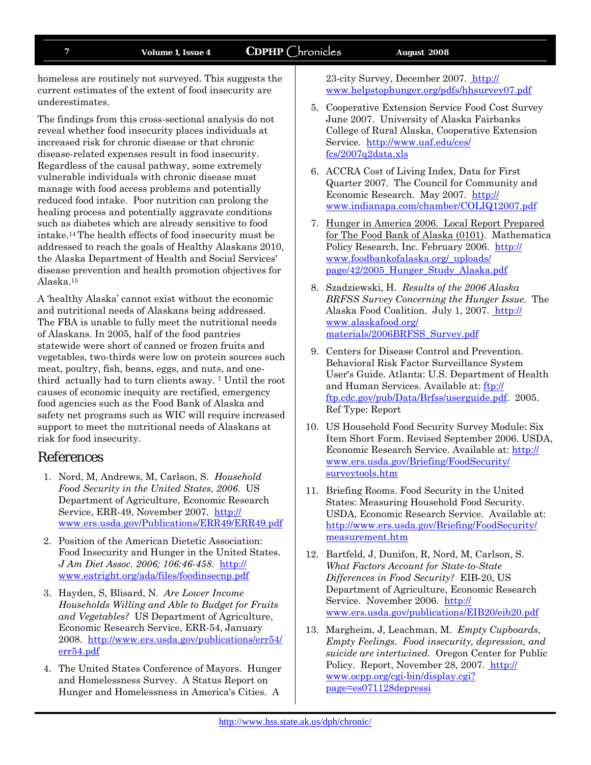### **7 Volume 1, Issue 4 CDPHP** Chronicles **August 2008**

homeless are routinely not surveyed. This suggests the current estimates of the extent of food insecurity are underestimates.

The findings from this cross-sectional analysis do not reveal whether food insecurity places individuals at increased risk for chronic disease or that chronic disease-related expenses result in food insecurity. Regardless of the causal pathway, some extremely vulnerable individuals with chronic disease must manage with food access problems and potentially reduced food intake. Poor nutrition can prolong the healing process and potentially aggravate conditions such as diabetes which are already sensitive to food intake.14 The health effects of food insecurity must be addressed to reach the goals of Healthy Alaskans 2010, the Alaska Department of Health and Social Services' disease prevention and health promotion objectives for Alaska.15

A 'healthy Alaska' cannot exist without the economic and nutritional needs of Alaskans being addressed. The FBA is unable to fully meet the nutritional needs of Alaskans. In 2005, half of the food pantries statewide were short of canned or frozen fruits and vegetables, two-thirds were low on protein sources such meat, poultry, fish, beans, eggs, and nuts, and onethird actually had to turn clients away. 7 Until the root causes of economic inequity are rectified, emergency food agencies such as the Food Bank of Alaska and safety net programs such as WIC will require increased support to meet the nutritional needs of Alaskans at risk for food insecurity.

### References

- 1. Nord, M, Andrews, M, Carlson, S. *Household Food Security in the United States, 2006*. US Department of Agriculture, Economic Research Service, ERR-49, November 2007. http:// www.ers.usda.gov/Publications/ERR49/ERR49.pdf
- 2. Position of the American Dietetic Association: Food Insecurity and Hunger in the United States. *J Am Diet Assoc. 2006; 106:46-458*. http:// www.eatright.org/ada/files/foodinsecnp.pdf
- 3. Hayden, S, Blisard, N. *Are Lower Income Households Willing and Able to Budget for Fruits and Vegetables?* US Department of Agriculture, Economic Research Service, ERR-54, January 2008. http://www.ers.usda.gov/publications/err54/ err54.pdf
- 4. The United States Conference of Mayors. Hunger and Homelessness Survey. A Status Report on Hunger and Homelessness in America's Cities. A

23-city Survey, December 2007. http:// www.helpstophunger.org/pdfs/hhsurvey07.pdf

- 5. Cooperative Extension Service Food Cost Survey June 2007. University of Alaska Fairbanks College of Rural Alaska, Cooperative Extension Service. http://www.uaf.edu/ces/ fcs/2007q2data.xls
- 6. ACCRA Cost of Living Index, Data for First Quarter 2007. The Council for Community and Economic Research. May 2007. http:// www.indianapa.com/chamber/COLIQ12007.pdf
- 7. Hunger in America 2006. Local Report Prepared for The Food Bank of Alaska (0101). Mathematica Policy Research, Inc. February 2006. http:// www.foodbankofalaska.org/\_uploads/ page/42/2005\_Hunger\_Study\_Alaska.pdf
- 8. Szadziewski, H. *Results of the 2006 Alaska BRFSS Survey Concerning the Hunger Issue.* The Alaska Food Coalition. July 1, 2007. http:// www.alaskafood.org/ materials/2006BRFSS\_Survey.pdf
- 9. Centers for Disease Control and Prevention. Behavioral Risk Factor Surveillance System User's Guide. Atlanta: U.S. Department of Health and Human Services. Available at: ftp:// ftp.cdc.gov/pub/Data/Brfss/userguide.pdf. 2005. Ref Type: Report
- 10. US Household Food Security Survey Module: Six Item Short Form. Revised September 2006. USDA, Economic Research Service. Available at: http:// www.ers.usda.gov/Briefing/FoodSecurity/ surveytools.htm
- 11. Briefing Rooms. Food Security in the United States: Measuring Household Food Security. USDA, Economic Research Service. Available at: http://www.ers.usda.gov/Briefing/FoodSecurity/ measurement.htm
- 12. Bartfeld, J, Dunifon, R, Nord, M, Carlson, S. *What Factors Account for State-to-State Differences in Food Security?* EIB-20, US Department of Agriculture, Economic Research Service. November 2006. http:// www.ers.usda.gov/publications/EIB20/eib20.pdf
- 13. Margheim, J, Leachman, M. *Empty Cupboards, Empty Feelings. Food insecurity, depression, and suicide are intertwined.* Oregon Center for Public Policy. Report, November 28, 2007. http:// www.ocpp.org/cgi-bin/display.cgi? page=es071128depressi